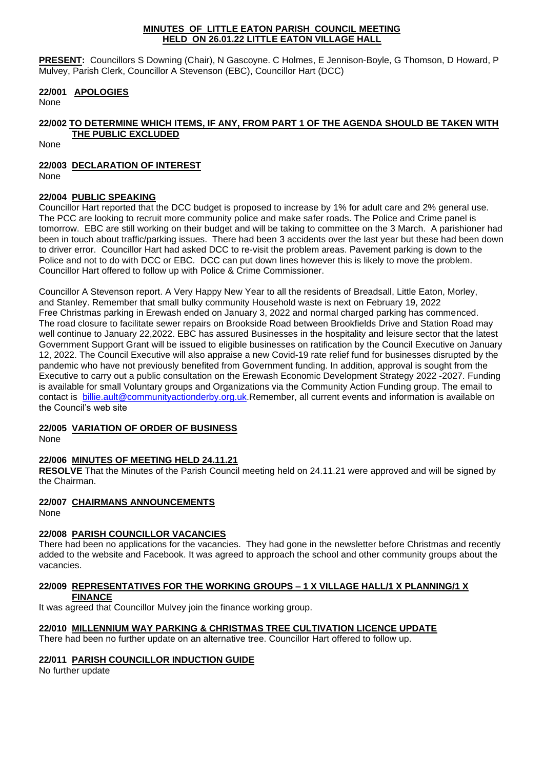#### **MINUTES OF LITTLE EATON PARISH COUNCIL MEETING HELD ON 26.01.22 LITTLE EATON VILLAGE HALL**

**PRESENT:** Councillors S Downing (Chair), N Gascoyne. C Holmes, E Jennison-Boyle, G Thomson, D Howard, P Mulvey, Parish Clerk, Councillor A Stevenson (EBC), Councillor Hart (DCC)

### **22/001 APOLOGIES**

None

## **22/002 TO DETERMINE WHICH ITEMS, IF ANY, FROM PART 1 OF THE AGENDA SHOULD BE TAKEN WITH THE PUBLIC EXCLUDED**

None

# **22/003 DECLARATION OF INTEREST**

None

## **22/004 PUBLIC SPEAKING**

Councillor Hart reported that the DCC budget is proposed to increase by 1% for adult care and 2% general use. The PCC are looking to recruit more community police and make safer roads. The Police and Crime panel is tomorrow. EBC are still working on their budget and will be taking to committee on the 3 March. A parishioner had been in touch about traffic/parking issues. There had been 3 accidents over the last year but these had been down to driver error. Councillor Hart had asked DCC to re-visit the problem areas. Pavement parking is down to the Police and not to do with DCC or EBC. DCC can put down lines however this is likely to move the problem. Councillor Hart offered to follow up with Police & Crime Commissioner.

Councillor A Stevenson report. A Very Happy New Year to all the residents of Breadsall, Little Eaton, Morley, and Stanley. Remember that small bulky community Household waste is next on February 19, 2022 Free Christmas parking in Erewash ended on January 3, 2022 and normal charged parking has commenced. The road closure to facilitate sewer repairs on Brookside Road between Brookfields Drive and Station Road may well continue to January 22,2022. EBC has assured Businesses in the hospitality and leisure sector that the latest Government Support Grant will be issued to eligible businesses on ratification by the Council Executive on January 12, 2022. The Council Executive will also appraise a new Covid-19 rate relief fund for businesses disrupted by the pandemic who have not previously benefited from Government funding. In addition, approval is sought from the Executive to carry out a public consultation on the Erewash Economic Development Strategy 2022 -2027. Funding is available for small Voluntary groups and Organizations via the Community Action Funding group. The email to contact is [billie.ault@communityactionderby.org.uk.](mailto:billie.ault@communityactionderby.org.uk)Remember, all current events and information is available on the Council's web site

## **22/005 VARIATION OF ORDER OF BUSINESS**

None

## **22/006 MINUTES OF MEETING HELD 24.11.21**

**RESOLVE** That the Minutes of the Parish Council meeting held on 24.11.21 were approved and will be signed by the Chairman.

## **22/007 CHAIRMANS ANNOUNCEMENTS**

None

## **22/008 PARISH COUNCILLOR VACANCIES**

There had been no applications for the vacancies. They had gone in the newsletter before Christmas and recently added to the website and Facebook. It was agreed to approach the school and other community groups about the vacancies.

### **22/009 REPRESENTATIVES FOR THE WORKING GROUPS – 1 X VILLAGE HALL/1 X PLANNING/1 X FINANCE**

It was agreed that Councillor Mulvey join the finance working group.

# **22/010 MILLENNIUM WAY PARKING & CHRISTMAS TREE CULTIVATION LICENCE UPDATE**

There had been no further update on an alternative tree. Councillor Hart offered to follow up.

## **22/011 PARISH COUNCILLOR INDUCTION GUIDE**

No further update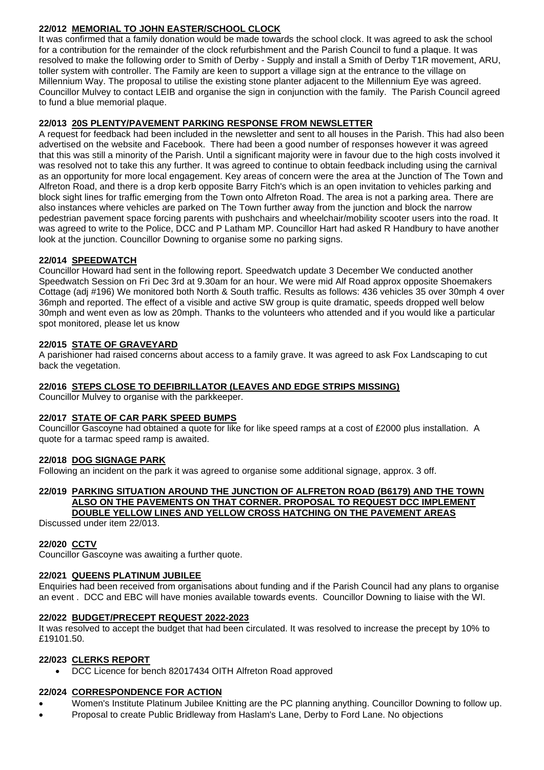# **22/012 MEMORIAL TO JOHN EASTER/SCHOOL CLOCK**

It was confirmed that a family donation would be made towards the school clock. It was agreed to ask the school for a contribution for the remainder of the clock refurbishment and the Parish Council to fund a plaque. It was resolved to make the following order to Smith of Derby - Supply and install a Smith of Derby T1R movement, ARU, toller system with controller. The Family are keen to support a village sign at the entrance to the village on Millennium Way. The proposal to utilise the existing stone planter adjacent to the Millennium Eye was agreed. Councillor Mulvey to contact LEIB and organise the sign in conjunction with the family. The Parish Council agreed to fund a blue memorial plaque.

### **22/013 20S PLENTY/PAVEMENT PARKING RESPONSE FROM NEWSLETTER**

A request for feedback had been included in the newsletter and sent to all houses in the Parish. This had also been advertised on the website and Facebook. There had been a good number of responses however it was agreed that this was still a minority of the Parish. Until a significant majority were in favour due to the high costs involved it was resolved not to take this any further. It was agreed to continue to obtain feedback including using the carnival as an opportunity for more local engagement. Key areas of concern were the area at the Junction of The Town and Alfreton Road, and there is a drop kerb opposite Barry Fitch's which is an open invitation to vehicles parking and block sight lines for traffic emerging from the Town onto Alfreton Road. The area is not a parking area. There are also instances where vehicles are parked on The Town further away from the junction and block the narrow pedestrian pavement space forcing parents with pushchairs and wheelchair/mobility scooter users into the road. It was agreed to write to the Police, DCC and P Latham MP. Councillor Hart had asked R Handbury to have another look at the junction. Councillor Downing to organise some no parking signs.

## **22/014 SPEEDWATCH**

Councillor Howard had sent in the following report. Speedwatch update 3 December We conducted another Speedwatch Session on Fri Dec 3rd at 9.30am for an hour. We were mid Alf Road approx opposite Shoemakers Cottage (adj #196) We monitored both North & South traffic. Results as follows: 436 vehicles 35 over 30mph 4 over 36mph and reported. The effect of a visible and active SW group is quite dramatic, speeds dropped well below 30mph and went even as low as 20mph. Thanks to the volunteers who attended and if you would like a particular spot monitored, please let us know

### **22/015 STATE OF GRAVEYARD**

A parishioner had raised concerns about access to a family grave. It was agreed to ask Fox Landscaping to cut back the vegetation.

### **22/016 STEPS CLOSE TO DEFIBRILLATOR (LEAVES AND EDGE STRIPS MISSING)**

Councillor Mulvey to organise with the parkkeeper.

### **22/017 STATE OF CAR PARK SPEED BUMPS**

Councillor Gascoyne had obtained a quote for like for like speed ramps at a cost of £2000 plus installation. A quote for a tarmac speed ramp is awaited.

### **22/018 DOG SIGNAGE PARK**

Following an incident on the park it was agreed to organise some additional signage, approx. 3 off.

### **22/019 PARKING SITUATION AROUND THE JUNCTION OF ALFRETON ROAD (B6179) AND THE TOWN ALSO ON THE PAVEMENTS ON THAT CORNER. PROPOSAL TO REQUEST DCC IMPLEMENT DOUBLE YELLOW LINES AND YELLOW CROSS HATCHING ON THE PAVEMENT AREAS**

Discussed under item 22/013.

### **22/020 CCTV**

Councillor Gascoyne was awaiting a further quote.

### **22/021 QUEENS PLATINUM JUBILEE**

Enquiries had been received from organisations about funding and if the Parish Council had any plans to organise an event . DCC and EBC will have monies available towards events. Councillor Downing to liaise with the WI.

### **22/022 BUDGET/PRECEPT REQUEST 2022-2023**

It was resolved to accept the budget that had been circulated. It was resolved to increase the precept by 10% to £19101.50.

### **22/023 CLERKS REPORT**

• DCC Licence for bench 82017434 OITH Alfreton Road approved

### **22/024 CORRESPONDENCE FOR ACTION**

- Women's Institute Platinum Jubilee Knitting are the PC planning anything. Councillor Downing to follow up.
- Proposal to create Public Bridleway from Haslam's Lane, Derby to Ford Lane. No objections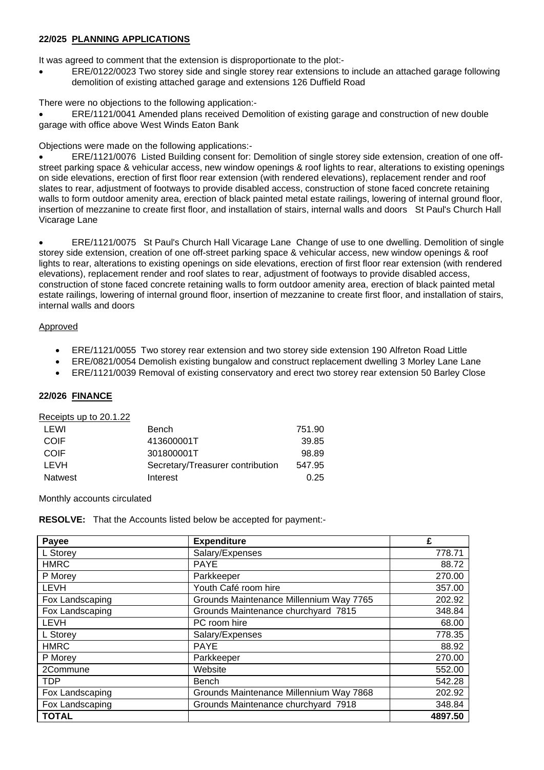#### **22/025 PLANNING APPLICATIONS**

It was agreed to comment that the extension is disproportionate to the plot:-

• ERE/0122/0023 Two storey side and single storey rear extensions to include an attached garage following demolition of existing attached garage and extensions 126 Duffield Road

There were no objections to the following application:-

• ERE/1121/0041 Amended plans received Demolition of existing garage and construction of new double garage with office above West Winds Eaton Bank

Objections were made on the following applications:-

• ERE/1121/0076 Listed Building consent for: Demolition of single storey side extension, creation of one offstreet parking space & vehicular access, new window openings & roof lights to rear, alterations to existing openings on side elevations, erection of first floor rear extension (with rendered elevations), replacement render and roof slates to rear, adjustment of footways to provide disabled access, construction of stone faced concrete retaining walls to form outdoor amenity area, erection of black painted metal estate railings, lowering of internal ground floor, insertion of mezzanine to create first floor, and installation of stairs, internal walls and doors St Paul's Church Hall Vicarage Lane

• ERE/1121/0075 St Paul's Church Hall Vicarage Lane Change of use to one dwelling. Demolition of single storey side extension, creation of one off-street parking space & vehicular access, new window openings & roof lights to rear, alterations to existing openings on side elevations, erection of first floor rear extension (with rendered elevations), replacement render and roof slates to rear, adjustment of footways to provide disabled access, construction of stone faced concrete retaining walls to form outdoor amenity area, erection of black painted metal estate railings, lowering of internal ground floor, insertion of mezzanine to create first floor, and installation of stairs, internal walls and doors

### Approved

- ERE/1121/0055 Two storey rear extension and two storey side extension 190 Alfreton Road Little
- ERE/0821/0054 Demolish existing bungalow and construct replacement dwelling 3 Morley Lane Lane
- ERE/1121/0039 Removal of existing conservatory and erect two storey rear extension 50 Barley Close

### **22/026 FINANCE**

#### Receipts up to 20.1.22

| LEWI    | Bench                            | 751.90 |
|---------|----------------------------------|--------|
| COIF    | 413600001T                       | 39.85  |
| COIF    | 301800001T                       | 98.89  |
| LEVH    | Secretary/Treasurer contribution | 547.95 |
| Natwest | Interest                         | 0.25   |

Monthly accounts circulated

**RESOLVE:** That the Accounts listed below be accepted for payment:-

| Payee           | <b>Expenditure</b>                      | £       |
|-----------------|-----------------------------------------|---------|
| L Storey        | Salary/Expenses                         | 778.71  |
| <b>HMRC</b>     | <b>PAYE</b>                             | 88.72   |
| P Morey         | Parkkeeper                              | 270.00  |
| <b>LEVH</b>     | Youth Café room hire                    | 357.00  |
| Fox Landscaping | Grounds Maintenance Millennium Way 7765 | 202.92  |
| Fox Landscaping | Grounds Maintenance churchyard 7815     | 348.84  |
| <b>LEVH</b>     | PC room hire                            | 68.00   |
| L Storey        | Salary/Expenses                         | 778.35  |
| <b>HMRC</b>     | <b>PAYE</b>                             | 88.92   |
| P Morey         | Parkkeeper                              | 270.00  |
| 2Commune        | Website                                 | 552.00  |
| <b>TDP</b>      | Bench                                   | 542.28  |
| Fox Landscaping | Grounds Maintenance Millennium Way 7868 | 202.92  |
| Fox Landscaping | Grounds Maintenance churchyard 7918     | 348.84  |
| <b>TOTAL</b>    |                                         | 4897.50 |